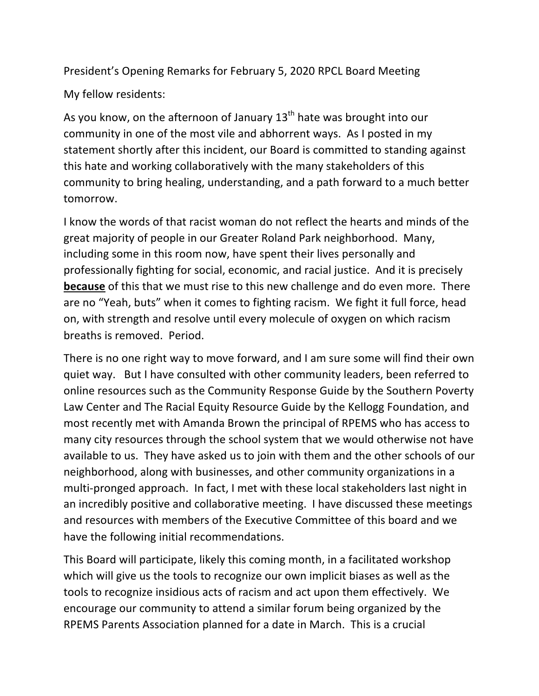President's Opening Remarks for February 5, 2020 RPCL Board Meeting

My fellow residents:

As you know, on the afternoon of January  $13<sup>th</sup>$  hate was brought into our community in one of the most vile and abhorrent ways. As I posted in my statement shortly after this incident, our Board is committed to standing against this hate and working collaboratively with the many stakeholders of this community to bring healing, understanding, and a path forward to a much better tomorrow.

I know the words of that racist woman do not reflect the hearts and minds of the great majority of people in our Greater Roland Park neighborhood. Many, including some in this room now, have spent their lives personally and professionally fighting for social, economic, and racial justice. And it is precisely **because** of this that we must rise to this new challenge and do even more. There are no "Yeah, buts" when it comes to fighting racism. We fight it full force, head on, with strength and resolve until every molecule of oxygen on which racism breaths is removed. Period.

There is no one right way to move forward, and I am sure some will find their own quiet way. But I have consulted with other community leaders, been referred to online resources such as the Community Response Guide by the Southern Poverty Law Center and The Racial Equity Resource Guide by the Kellogg Foundation, and most recently met with Amanda Brown the principal of RPEMS who has access to many city resources through the school system that we would otherwise not have available to us. They have asked us to join with them and the other schools of our neighborhood, along with businesses, and other community organizations in a multi-pronged approach. In fact, I met with these local stakeholders last night in an incredibly positive and collaborative meeting. I have discussed these meetings and resources with members of the Executive Committee of this board and we have the following initial recommendations.

This Board will participate, likely this coming month, in a facilitated workshop which will give us the tools to recognize our own implicit biases as well as the tools to recognize insidious acts of racism and act upon them effectively. We encourage our community to attend a similar forum being organized by the RPEMS Parents Association planned for a date in March. This is a crucial